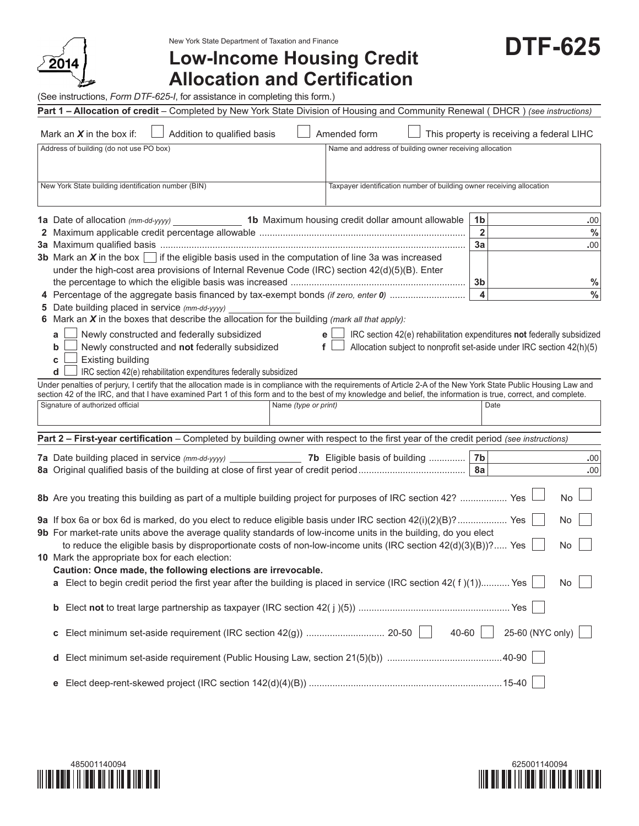$2014$ 

New York State Department of Taxation and Finance

**Low-Income Housing Credit Allocation and Certification**

(See instructions, *Form DTF-625-I*, for assistance in completing this form.)

| Part 1 - Allocation of credit - Completed by New York State Division of Housing and Community Renewal (DHCR) (see instructions)                   |                                                                                                                                                                                                                                                                                                                                      |                                                                           |                      |                                           |               |  |
|---------------------------------------------------------------------------------------------------------------------------------------------------|--------------------------------------------------------------------------------------------------------------------------------------------------------------------------------------------------------------------------------------------------------------------------------------------------------------------------------------|---------------------------------------------------------------------------|----------------------|-------------------------------------------|---------------|--|
|                                                                                                                                                   | Mark an $X$ in the box if:<br>Addition to qualified basis                                                                                                                                                                                                                                                                            | Amended form                                                              |                      | This property is receiving a federal LIHC |               |  |
|                                                                                                                                                   | Address of building (do not use PO box)                                                                                                                                                                                                                                                                                              | Name and address of building owner receiving allocation                   |                      |                                           |               |  |
|                                                                                                                                                   |                                                                                                                                                                                                                                                                                                                                      |                                                                           |                      |                                           |               |  |
|                                                                                                                                                   | New York State building identification number (BIN)                                                                                                                                                                                                                                                                                  | Taxpayer identification number of building owner receiving allocation     |                      |                                           |               |  |
|                                                                                                                                                   |                                                                                                                                                                                                                                                                                                                                      |                                                                           |                      |                                           |               |  |
|                                                                                                                                                   | 1a Date of allocation (mm-dd-yyyy)                                                                                                                                                                                                                                                                                                   | 1b Maximum housing credit dollar amount allowable                         | 1 <sub>b</sub>       |                                           | .00           |  |
|                                                                                                                                                   |                                                                                                                                                                                                                                                                                                                                      |                                                                           | $\overline{2}$<br>3a |                                           | $\%$          |  |
|                                                                                                                                                   | <b>3b</b> Mark an $X$ in the box $\Box$ if the eligible basis used in the computation of line 3a was increased                                                                                                                                                                                                                       |                                                                           |                      |                                           | .00           |  |
|                                                                                                                                                   | under the high-cost area provisions of Internal Revenue Code (IRC) section 42(d)(5)(B). Enter                                                                                                                                                                                                                                        |                                                                           |                      |                                           |               |  |
|                                                                                                                                                   |                                                                                                                                                                                                                                                                                                                                      |                                                                           | 3b                   |                                           | $\frac{0}{0}$ |  |
|                                                                                                                                                   |                                                                                                                                                                                                                                                                                                                                      |                                                                           | $\overline{4}$       |                                           | $\%$          |  |
| 5 Date building placed in service (mm-dd-yyyy)<br>6 Mark an $X$ in the boxes that describe the allocation for the building (mark all that apply): |                                                                                                                                                                                                                                                                                                                                      |                                                                           |                      |                                           |               |  |
| Newly constructed and federally subsidized<br>IRC section 42(e) rehabilitation expenditures not federally subsidized<br>e l<br>a                  |                                                                                                                                                                                                                                                                                                                                      |                                                                           |                      |                                           |               |  |
|                                                                                                                                                   | Newly constructed and not federally subsidized<br>b                                                                                                                                                                                                                                                                                  | Allocation subject to nonprofit set-aside under IRC section 42(h)(5)<br>f |                      |                                           |               |  |
|                                                                                                                                                   | <b>Existing building</b><br>C                                                                                                                                                                                                                                                                                                        |                                                                           |                      |                                           |               |  |
|                                                                                                                                                   | d<br>IRC section 42(e) rehabilitation expenditures federally subsidized                                                                                                                                                                                                                                                              |                                                                           |                      |                                           |               |  |
|                                                                                                                                                   | Under penalties of perjury, I certify that the allocation made is in compliance with the requirements of Article 2-A of the New York State Public Housing Law and<br>section 42 of the IRC, and that I have examined Part 1 of this form and to the best of my knowledge and belief, the information is true, correct, and complete. |                                                                           |                      |                                           |               |  |
|                                                                                                                                                   | Signature of authorized official<br>Name (type or print)                                                                                                                                                                                                                                                                             |                                                                           | Date                 |                                           |               |  |
|                                                                                                                                                   |                                                                                                                                                                                                                                                                                                                                      |                                                                           |                      |                                           |               |  |
|                                                                                                                                                   | Part 2 - First-year certification - Completed by building owner with respect to the first year of the credit period (see instructions)                                                                                                                                                                                               |                                                                           |                      |                                           |               |  |
|                                                                                                                                                   |                                                                                                                                                                                                                                                                                                                                      |                                                                           | 7b                   |                                           | .00           |  |
|                                                                                                                                                   |                                                                                                                                                                                                                                                                                                                                      |                                                                           | <b>8a</b>            |                                           | .00           |  |
|                                                                                                                                                   |                                                                                                                                                                                                                                                                                                                                      |                                                                           |                      |                                           |               |  |
|                                                                                                                                                   | <b>No</b><br>8b Are you treating this building as part of a multiple building project for purposes of IRC section 42?  Yes L                                                                                                                                                                                                         |                                                                           |                      |                                           |               |  |
|                                                                                                                                                   | No<br>9a If box 6a or box 6d is marked, do you elect to reduce eligible basis under IRC section 42(i)(2)(B)? Yes                                                                                                                                                                                                                     |                                                                           |                      |                                           |               |  |
|                                                                                                                                                   | 9b For market-rate units above the average quality standards of low-income units in the building, do you elect                                                                                                                                                                                                                       |                                                                           |                      |                                           |               |  |
|                                                                                                                                                   | to reduce the eligible basis by disproportionate costs of non-low-income units (IRC section $42(d)(3)(B))$ ? Yes                                                                                                                                                                                                                     |                                                                           |                      |                                           | <b>No</b>     |  |
|                                                                                                                                                   | 10 Mark the appropriate box for each election:<br>Caution: Once made, the following elections are irrevocable.                                                                                                                                                                                                                       |                                                                           |                      |                                           |               |  |
|                                                                                                                                                   | <b>a</b> Elect to begin credit period the first year after the building is placed in service (IRC section 42( f)(1)) Yes                                                                                                                                                                                                             |                                                                           |                      |                                           | <b>No</b>     |  |
|                                                                                                                                                   |                                                                                                                                                                                                                                                                                                                                      |                                                                           |                      |                                           |               |  |
|                                                                                                                                                   |                                                                                                                                                                                                                                                                                                                                      |                                                                           |                      |                                           |               |  |
|                                                                                                                                                   | С                                                                                                                                                                                                                                                                                                                                    |                                                                           | $40-60$              | 25-60 (NYC only)                          |               |  |
|                                                                                                                                                   | d                                                                                                                                                                                                                                                                                                                                    |                                                                           |                      |                                           |               |  |
|                                                                                                                                                   |                                                                                                                                                                                                                                                                                                                                      |                                                                           |                      |                                           |               |  |





**DTF-625**